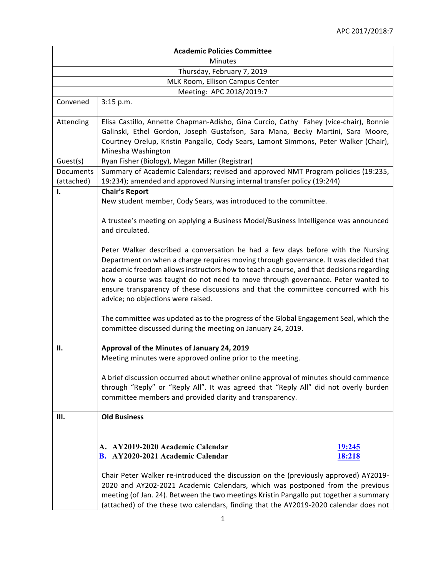| <b>Academic Policies Committee</b> |                                                                                                                                                                                                                                                                                                                                                                                                                                                                                  |  |  |  |  |  |  |
|------------------------------------|----------------------------------------------------------------------------------------------------------------------------------------------------------------------------------------------------------------------------------------------------------------------------------------------------------------------------------------------------------------------------------------------------------------------------------------------------------------------------------|--|--|--|--|--|--|
| Minutes                            |                                                                                                                                                                                                                                                                                                                                                                                                                                                                                  |  |  |  |  |  |  |
| Thursday, February 7, 2019         |                                                                                                                                                                                                                                                                                                                                                                                                                                                                                  |  |  |  |  |  |  |
| MLK Room, Ellison Campus Center    |                                                                                                                                                                                                                                                                                                                                                                                                                                                                                  |  |  |  |  |  |  |
| Meeting: APC 2018/2019:7           |                                                                                                                                                                                                                                                                                                                                                                                                                                                                                  |  |  |  |  |  |  |
| Convened                           | 3:15 p.m.                                                                                                                                                                                                                                                                                                                                                                                                                                                                        |  |  |  |  |  |  |
| Attending                          | Elisa Castillo, Annette Chapman-Adisho, Gina Curcio, Cathy Fahey (vice-chair), Bonnie<br>Galinski, Ethel Gordon, Joseph Gustafson, Sara Mana, Becky Martini, Sara Moore,<br>Courtney Orelup, Kristin Pangallo, Cody Sears, Lamont Simmons, Peter Walker (Chair),<br>Minesha Washington                                                                                                                                                                                           |  |  |  |  |  |  |
| Guest(s)                           | Ryan Fisher (Biology), Megan Miller (Registrar)                                                                                                                                                                                                                                                                                                                                                                                                                                  |  |  |  |  |  |  |
| Documents<br>(attached)            | Summary of Academic Calendars; revised and approved NMT Program policies (19:235,<br>19:234); amended and approved Nursing internal transfer policy (19:244)                                                                                                                                                                                                                                                                                                                     |  |  |  |  |  |  |
| I.                                 | <b>Chair's Report</b><br>New student member, Cody Sears, was introduced to the committee.                                                                                                                                                                                                                                                                                                                                                                                        |  |  |  |  |  |  |
|                                    | A trustee's meeting on applying a Business Model/Business Intelligence was announced<br>and circulated.                                                                                                                                                                                                                                                                                                                                                                          |  |  |  |  |  |  |
|                                    | Peter Walker described a conversation he had a few days before with the Nursing<br>Department on when a change requires moving through governance. It was decided that<br>academic freedom allows instructors how to teach a course, and that decisions regarding<br>how a course was taught do not need to move through governance. Peter wanted to<br>ensure transparency of these discussions and that the committee concurred with his<br>advice; no objections were raised. |  |  |  |  |  |  |
|                                    | The committee was updated as to the progress of the Global Engagement Seal, which the<br>committee discussed during the meeting on January 24, 2019.                                                                                                                                                                                                                                                                                                                             |  |  |  |  |  |  |
| П.                                 | Approval of the Minutes of January 24, 2019                                                                                                                                                                                                                                                                                                                                                                                                                                      |  |  |  |  |  |  |
|                                    | Meeting minutes were approved online prior to the meeting.                                                                                                                                                                                                                                                                                                                                                                                                                       |  |  |  |  |  |  |
|                                    | A brief discussion occurred about whether online approval of minutes should commence<br>through "Reply" or "Reply All". It was agreed that "Reply All" did not overly burden<br>committee members and provided clarity and transparency.                                                                                                                                                                                                                                         |  |  |  |  |  |  |
| Ш.                                 | <b>Old Business</b>                                                                                                                                                                                                                                                                                                                                                                                                                                                              |  |  |  |  |  |  |
|                                    | AY2019-2020 Academic Calendar<br><u> 19:245</u><br>A.                                                                                                                                                                                                                                                                                                                                                                                                                            |  |  |  |  |  |  |
|                                    | <b>B.</b> AY2020-2021 Academic Calendar<br>18:218                                                                                                                                                                                                                                                                                                                                                                                                                                |  |  |  |  |  |  |
|                                    | Chair Peter Walker re-introduced the discussion on the (previously approved) AY2019-<br>2020 and AY202-2021 Academic Calendars, which was postponed from the previous<br>meeting (of Jan. 24). Between the two meetings Kristin Pangallo put together a summary<br>(attached) of the these two calendars, finding that the AY2019-2020 calendar does not                                                                                                                         |  |  |  |  |  |  |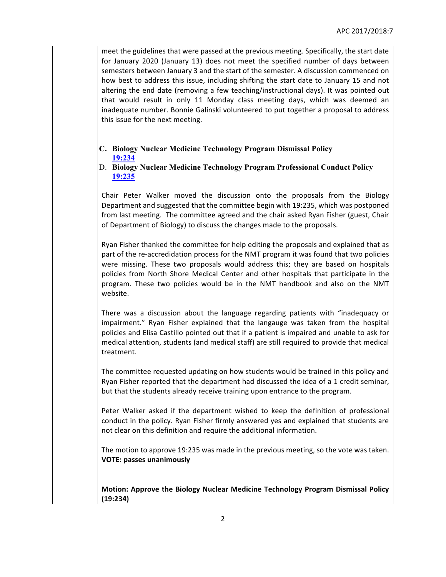meet the guidelines that were passed at the previous meeting. Specifically, the start date for January 2020 (January 13) does not meet the specified number of days between semesters between January 3 and the start of the semester. A discussion commenced on how best to address this issue, including shifting the start date to January 15 and not altering the end date (removing a few teaching/instructional days). It was pointed out that would result in only 11 Monday class meeting days, which was deemed an inadequate number. Bonnie Galinski volunteered to put together a proposal to address this issue for the next meeting.

### **C. Biology Nuclear Medicine Technology Program Dismissal Policy 19:234**

D. **Biology Nuclear Medicine Technology Program Professional Conduct Policy 19:235**

Chair Peter Walker moved the discussion onto the proposals from the Biology Department and suggested that the committee begin with 19:235, which was postponed from last meeting. The committee agreed and the chair asked Ryan Fisher (guest, Chair of Department of Biology) to discuss the changes made to the proposals.

Ryan Fisher thanked the committee for help editing the proposals and explained that as part of the re-accredidation process for the NMT program it was found that two policies were missing. These two proposals would address this; they are based on hospitals policies from North Shore Medical Center and other hospitals that participate in the program. These two policies would be in the NMT handbook and also on the NMT website.

There was a discussion about the language regarding patients with "inadequacy or impairment." Ryan Fisher explained that the langauge was taken from the hospital policies and Elisa Castillo pointed out that if a patient is impaired and unable to ask for medical attention, students (and medical staff) are still required to provide that medical treatment.

The committee requested updating on how students would be trained in this policy and Ryan Fisher reported that the department had discussed the idea of a 1 credit seminar, but that the students already receive training upon entrance to the program.

Peter Walker asked if the department wished to keep the definition of professional conduct in the policy. Ryan Fisher firmly answered yes and explained that students are not clear on this definition and require the additional information.

The motion to approve 19:235 was made in the previous meeting, so the vote was taken. **VOTE: passes unanimously** 

**Motion: Approve the Biology Nuclear Medicine Technology Program Dismissal Policy (19:234)**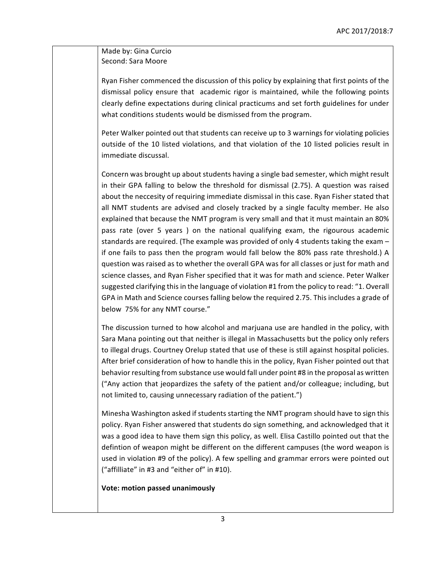## Made by: Gina Curcio Second: Sara Moore

Ryan Fisher commenced the discussion of this policy by explaining that first points of the dismissal policy ensure that academic rigor is maintained, while the following points clearly define expectations during clinical practicums and set forth guidelines for under what conditions students would be dismissed from the program.

Peter Walker pointed out that students can receive up to 3 warnings for violating policies outside of the 10 listed violations, and that violation of the 10 listed policies result in immediate discussal.

Concern was brought up about students having a single bad semester, which might result in their GPA falling to below the threshold for dismissal (2.75). A question was raised about the neccesity of requiring immediate dismissal in this case. Ryan Fisher stated that all NMT students are advised and closely tracked by a single faculty member. He also explained that because the NMT program is very small and that it must maintain an 80% pass rate (over 5 years) on the national qualifying exam, the rigourous academic standards are required. (The example was provided of only 4 students taking the exam  $$ if one fails to pass then the program would fall below the 80% pass rate threshold.) A question was raised as to whether the overall GPA was for all classes or just for math and science classes, and Ryan Fisher specified that it was for math and science. Peter Walker suggested clarifying this in the language of violation #1 from the policy to read: "1. Overall GPA in Math and Science courses falling below the required 2.75. This includes a grade of below 75% for any NMT course."

The discussion turned to how alcohol and marjuana use are handled in the policy, with Sara Mana pointing out that neither is illegal in Massachusetts but the policy only refers to illegal drugs. Courtney Orelup stated that use of these is still against hospital policies. After brief consideration of how to handle this in the policy, Ryan Fisher pointed out that behavior resulting from substance use would fall under point #8 in the proposal as written ("Any action that jeopardizes the safety of the patient and/or colleague; including, but not limited to, causing unnecessary radiation of the patient.")

Minesha Washington asked if students starting the NMT program should have to sign this policy. Ryan Fisher answered that students do sign something, and acknowledged that it was a good idea to have them sign this policy, as well. Elisa Castillo pointed out that the defintion of weapon might be different on the different campuses (the word weapon is used in violation #9 of the policy). A few spelling and grammar errors were pointed out ("affilliate" in #3 and "either of" in #10).

#### **Vote: motion passed unanimously**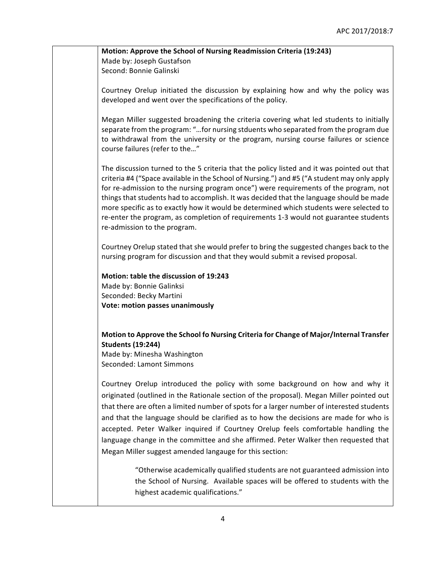**Motion: Approve the School of Nursing Readmission Criteria (19:243)** Made by: Joseph Gustafson Second: Bonnie Galinski

Courtney Orelup initiated the discussion by explaining how and why the policy was developed and went over the specifications of the policy.

Megan Miller suggested broadening the criteria covering what led students to initially separate from the program: "...for nursing stduents who separated from the program due to withdrawal from the university or the program, nursing course failures or science course failures (refer to the..."

The discussion turned to the 5 criteria that the policy listed and it was pointed out that criteria #4 ("Space available in the School of Nursing.") and #5 ("A student may only apply for re-admission to the nursing program once") were requirements of the program, not things that students had to accomplish. It was decided that the language should be made more specific as to exactly how it would be determined which students were selected to re-enter the program, as completion of requirements 1-3 would not guarantee students re-admission to the program.

Courtney Orelup stated that she would prefer to bring the suggested changes back to the nursing program for discussion and that they would submit a revised proposal.

**Motion: table the discussion of 19:243** Made by: Bonnie Galinksi Seconded: Becky Martini **Vote: motion passes unanimously** 

# **Motion to Approve the School fo Nursing Criteria for Change of Major/Internal Transfer Students (19:244)**

Made by: Minesha Washington Seconded: Lamont Simmons

Courtney Orelup introduced the policy with some background on how and why it originated (outlined in the Rationale section of the proposal). Megan Miller pointed out that there are often a limited number of spots for a larger number of interested students and that the language should be clarified as to how the decisions are made for who is accepted. Peter Walker inquired if Courtney Orelup feels comfortable handling the language change in the committee and she affirmed. Peter Walker then requested that Megan Miller suggest amended langauge for this section:

> "Otherwise academically qualified students are not guaranteed admission into the School of Nursing. Available spaces will be offered to students with the highest academic qualifications."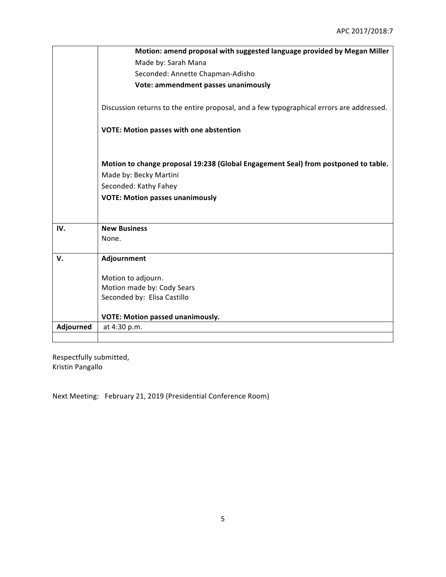|           | Motion: amend proposal with suggested language provided by Megan Miller                  |  |  |  |  |  |
|-----------|------------------------------------------------------------------------------------------|--|--|--|--|--|
|           | Made by: Sarah Mana                                                                      |  |  |  |  |  |
|           | Seconded: Annette Chapman-Adisho                                                         |  |  |  |  |  |
|           | Vote: ammendment passes unanimously                                                      |  |  |  |  |  |
|           |                                                                                          |  |  |  |  |  |
|           | Discussion returns to the entire proposal, and a few typographical errors are addressed. |  |  |  |  |  |
|           |                                                                                          |  |  |  |  |  |
|           | <b>VOTE: Motion passes with one abstention</b>                                           |  |  |  |  |  |
|           |                                                                                          |  |  |  |  |  |
|           |                                                                                          |  |  |  |  |  |
|           | Motion to change proposal 19:238 (Global Engagement Seal) from postponed to table.       |  |  |  |  |  |
|           | Made by: Becky Martini                                                                   |  |  |  |  |  |
|           | Seconded: Kathy Fahey                                                                    |  |  |  |  |  |
|           | <b>VOTE: Motion passes unanimously</b>                                                   |  |  |  |  |  |
|           |                                                                                          |  |  |  |  |  |
|           |                                                                                          |  |  |  |  |  |
| IV.       | <b>New Business</b>                                                                      |  |  |  |  |  |
|           | None.                                                                                    |  |  |  |  |  |
| V.        | Adjournment                                                                              |  |  |  |  |  |
|           |                                                                                          |  |  |  |  |  |
|           | Motion to adjourn.                                                                       |  |  |  |  |  |
|           | Motion made by: Cody Sears                                                               |  |  |  |  |  |
|           | Seconded by: Elisa Castillo                                                              |  |  |  |  |  |
|           |                                                                                          |  |  |  |  |  |
|           | <b>VOTE: Motion passed unanimously.</b>                                                  |  |  |  |  |  |
| Adjourned | at 4:30 p.m.                                                                             |  |  |  |  |  |
|           |                                                                                          |  |  |  |  |  |

Respectfully submitted, Kristin Pangallo

Next Meeting: February 21, 2019 (Presidential Conference Room)